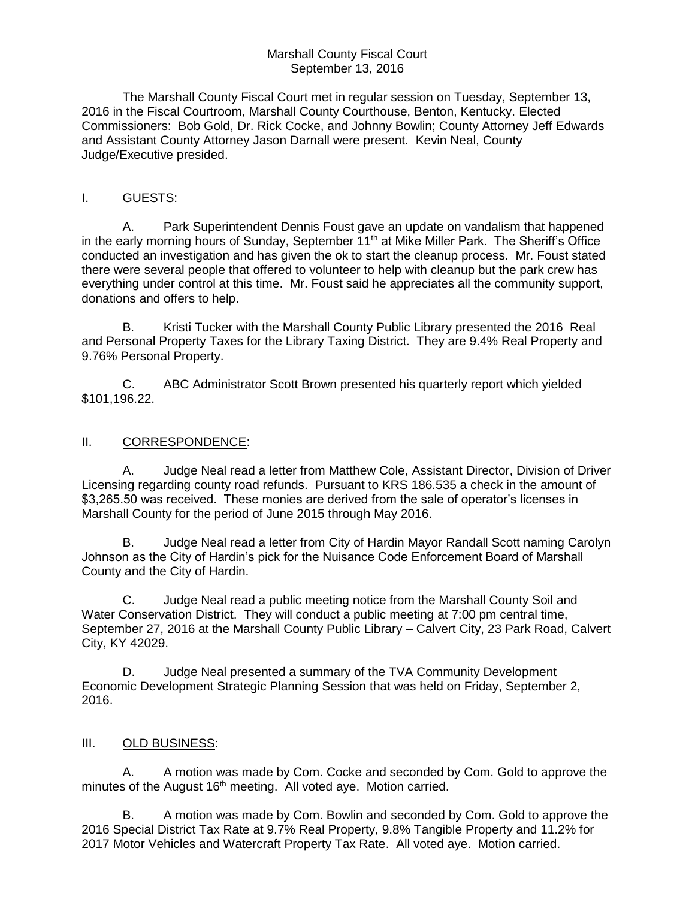#### Marshall County Fiscal Court September 13, 2016

The Marshall County Fiscal Court met in regular session on Tuesday, September 13, 2016 in the Fiscal Courtroom, Marshall County Courthouse, Benton, Kentucky. Elected Commissioners: Bob Gold, Dr. Rick Cocke, and Johnny Bowlin; County Attorney Jeff Edwards and Assistant County Attorney Jason Darnall were present. Kevin Neal, County Judge/Executive presided.

# I. GUESTS:

A. Park Superintendent Dennis Foust gave an update on vandalism that happened in the early morning hours of Sunday, September 11<sup>th</sup> at Mike Miller Park. The Sheriff's Office conducted an investigation and has given the ok to start the cleanup process. Mr. Foust stated there were several people that offered to volunteer to help with cleanup but the park crew has everything under control at this time. Mr. Foust said he appreciates all the community support, donations and offers to help.

B. Kristi Tucker with the Marshall County Public Library presented the 2016 Real and Personal Property Taxes for the Library Taxing District. They are 9.4% Real Property and 9.76% Personal Property.

C. ABC Administrator Scott Brown presented his quarterly report which yielded \$101,196.22.

## II. CORRESPONDENCE:

A. Judge Neal read a letter from Matthew Cole, Assistant Director, Division of Driver Licensing regarding county road refunds. Pursuant to KRS 186.535 a check in the amount of \$3,265.50 was received. These monies are derived from the sale of operator's licenses in Marshall County for the period of June 2015 through May 2016.

B. Judge Neal read a letter from City of Hardin Mayor Randall Scott naming Carolyn Johnson as the City of Hardin's pick for the Nuisance Code Enforcement Board of Marshall County and the City of Hardin.

C. Judge Neal read a public meeting notice from the Marshall County Soil and Water Conservation District. They will conduct a public meeting at 7:00 pm central time, September 27, 2016 at the Marshall County Public Library – Calvert City, 23 Park Road, Calvert City, KY 42029.

D. Judge Neal presented a summary of the TVA Community Development Economic Development Strategic Planning Session that was held on Friday, September 2, 2016.

### III. OLD BUSINESS:

A. A motion was made by Com. Cocke and seconded by Com. Gold to approve the minutes of the August 16<sup>th</sup> meeting. All voted aye. Motion carried.

B. A motion was made by Com. Bowlin and seconded by Com. Gold to approve the 2016 Special District Tax Rate at 9.7% Real Property, 9.8% Tangible Property and 11.2% for 2017 Motor Vehicles and Watercraft Property Tax Rate. All voted aye. Motion carried.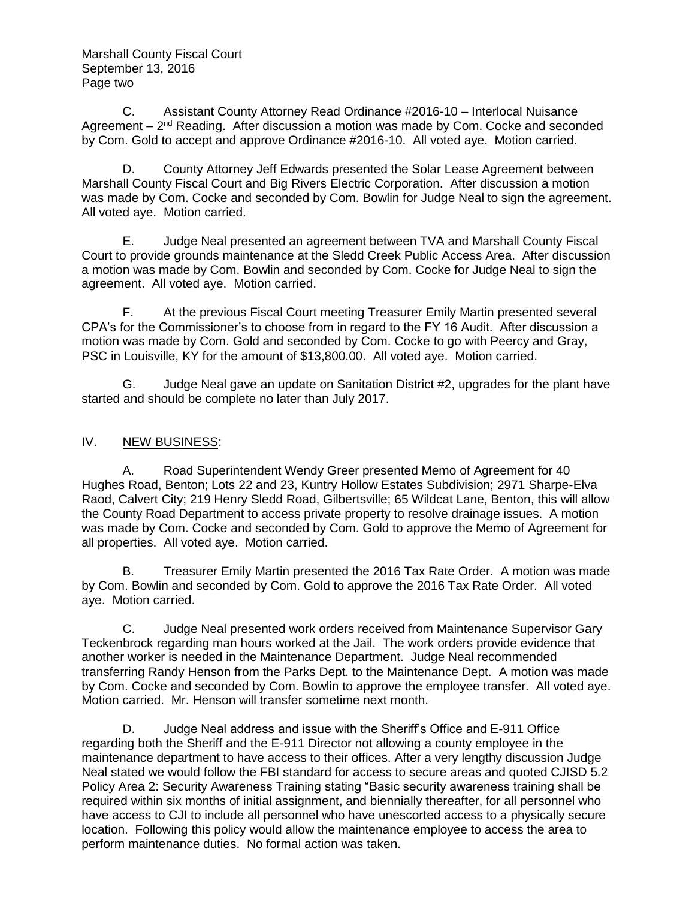Marshall County Fiscal Court September 13, 2016 Page two

C. Assistant County Attorney Read Ordinance #2016-10 – Interlocal Nuisance Agreement – 2<sup>nd</sup> Reading. After discussion a motion was made by Com. Cocke and seconded by Com. Gold to accept and approve Ordinance #2016-10. All voted aye. Motion carried.

D. County Attorney Jeff Edwards presented the Solar Lease Agreement between Marshall County Fiscal Court and Big Rivers Electric Corporation. After discussion a motion was made by Com. Cocke and seconded by Com. Bowlin for Judge Neal to sign the agreement. All voted aye. Motion carried.

E. Judge Neal presented an agreement between TVA and Marshall County Fiscal Court to provide grounds maintenance at the Sledd Creek Public Access Area. After discussion a motion was made by Com. Bowlin and seconded by Com. Cocke for Judge Neal to sign the agreement. All voted aye. Motion carried.

F. At the previous Fiscal Court meeting Treasurer Emily Martin presented several CPA's for the Commissioner's to choose from in regard to the FY 16 Audit. After discussion a motion was made by Com. Gold and seconded by Com. Cocke to go with Peercy and Gray, PSC in Louisville, KY for the amount of \$13,800.00. All voted aye. Motion carried.

G. Judge Neal gave an update on Sanitation District #2, upgrades for the plant have started and should be complete no later than July 2017.

### IV. NEW BUSINESS:

A. Road Superintendent Wendy Greer presented Memo of Agreement for 40 Hughes Road, Benton; Lots 22 and 23, Kuntry Hollow Estates Subdivision; 2971 Sharpe-Elva Raod, Calvert City; 219 Henry Sledd Road, Gilbertsville; 65 Wildcat Lane, Benton, this will allow the County Road Department to access private property to resolve drainage issues. A motion was made by Com. Cocke and seconded by Com. Gold to approve the Memo of Agreement for all properties. All voted aye. Motion carried.

B. Treasurer Emily Martin presented the 2016 Tax Rate Order. A motion was made by Com. Bowlin and seconded by Com. Gold to approve the 2016 Tax Rate Order. All voted aye. Motion carried.

C. Judge Neal presented work orders received from Maintenance Supervisor Gary Teckenbrock regarding man hours worked at the Jail. The work orders provide evidence that another worker is needed in the Maintenance Department. Judge Neal recommended transferring Randy Henson from the Parks Dept. to the Maintenance Dept. A motion was made by Com. Cocke and seconded by Com. Bowlin to approve the employee transfer. All voted aye. Motion carried. Mr. Henson will transfer sometime next month.

D. Judge Neal address and issue with the Sheriff's Office and E-911 Office regarding both the Sheriff and the E-911 Director not allowing a county employee in the maintenance department to have access to their offices. After a very lengthy discussion Judge Neal stated we would follow the FBI standard for access to secure areas and quoted CJISD 5.2 Policy Area 2: Security Awareness Training stating "Basic security awareness training shall be required within six months of initial assignment, and biennially thereafter, for all personnel who have access to CJI to include all personnel who have unescorted access to a physically secure location. Following this policy would allow the maintenance employee to access the area to perform maintenance duties. No formal action was taken.